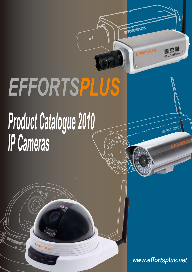# *EFFORTSPLUS*

# *Product Catalogue 2010 IP Cameras*

やゆ

EFFORTSPLUS

*www.effortsplus.net*

FORTISF

EFFORTSPLUS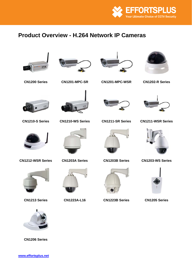

# **Product Overview - H.264 Network IP Cameras**

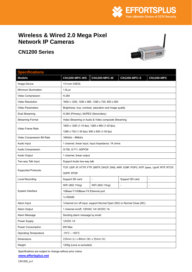

## <span id="page-2-0"></span>**Wireless & Wired 2.0 Mega Pixel Network IP Cameras**

## **CN1200 Series**



| <b>Specifications</b>        |                                             |                                                                                         |                     |                   |  |  |
|------------------------------|---------------------------------------------|-----------------------------------------------------------------------------------------|---------------------|-------------------|--|--|
| <b>Models</b>                | <b>CN1200-MPC-WS</b>                        | <b>CN1200-MPC-W</b>                                                                     | <b>CN1200-MPC-S</b> | <b>CN1200-MPC</b> |  |  |
| Image Device                 | 1/3 inch CMOS                               |                                                                                         |                     |                   |  |  |
| Minimum Illumination         | 1.0Lux                                      |                                                                                         |                     |                   |  |  |
| Video Compression            | H.264                                       |                                                                                         |                     |                   |  |  |
| Video Resolution             |                                             | 1600 x 1200, 1280 x 960, 1280 x 720, 800 x 600                                          |                     |                   |  |  |
| <b>Video Parameters</b>      |                                             | Brightness, hue, contrast, saturation and image quality                                 |                     |                   |  |  |
| Dual Streaming               | H.264 (Primary), MJPEG (Secondary)          |                                                                                         |                     |                   |  |  |
| <b>Streaming Format</b>      |                                             | Video Streaming or Audio & Video composite Streaming                                    |                     |                   |  |  |
|                              |                                             | 1600 x 1200 (1-15 fps); 1280 x 960 (1-25 fps);                                          |                     |                   |  |  |
| Video Frame Rate             | 1280 x 720 (1-30 fps); 800 x 600 (1-30 fps) |                                                                                         |                     |                   |  |  |
| Video Compression Bit Rate   | 16Kbit/s - 8Mbit/s                          |                                                                                         |                     |                   |  |  |
| Audio Input                  |                                             | 1 channel, linear input, Input Impedance: 1K ohms                                       |                     |                   |  |  |
| Audio Compression            | G.726, G.711, ADPCM                         |                                                                                         |                     |                   |  |  |
| Audio Output                 | 1 channel, linear output                    |                                                                                         |                     |                   |  |  |
| Two-way Talk Input           |                                             | Support Audio two-way talk                                                              |                     |                   |  |  |
|                              |                                             | TCP, UDP, IP, HTTP, FTP, SMTP, DHCP, DNS, ARP, ICMP, POP3, NTP, Ipsec, UpnP, RTP, RTCP, |                     |                   |  |  |
| <b>Supported Protocols</b>   | 3GPP, RTSP.                                 |                                                                                         |                     |                   |  |  |
| <b>Local Recording</b>       | Support SD card                             |                                                                                         | Support SD card     | $\overline{a}$    |  |  |
|                              | WiFi (802.11b/g)                            | WiFi (802.11b/g)                                                                        |                     |                   |  |  |
| System Interface             | 10Base-T/100Base-TX Ethernet port           |                                                                                         |                     |                   |  |  |
|                              | 1x RS485                                    |                                                                                         |                     |                   |  |  |
| Alarm Input                  |                                             | 1channel on/ off input, support Normal Open (NO) or Normal Close (NC)                   |                     |                   |  |  |
| Alarm Output                 | 1 channel on/off, 120VAC 1A/ 24VDC 1A       |                                                                                         |                     |                   |  |  |
| Alarm Message                | Sending alarm message by email              |                                                                                         |                     |                   |  |  |
| Power Supply                 | 12VDC 1A                                    |                                                                                         |                     |                   |  |  |
| Power Consumption            | 6W Max.                                     |                                                                                         |                     |                   |  |  |
| <b>Operating Temperature</b> | $-10^{\circ}$ C - $+55^{\circ}$ C           |                                                                                         |                     |                   |  |  |
| Dimensions                   | 155mm (L) x 80mm (W) x 55mm (H)             |                                                                                         |                     |                   |  |  |
| Weight                       |                                             | 1200g (Lens is excluded)                                                                |                     |                   |  |  |

Specifications are subject to change without prior notice.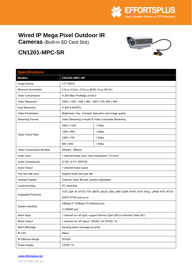

# <span id="page-3-0"></span>**Wired IP Mega Pixel Outdoor IR**

**Cameras** (Built-in SD Card Slot)

# **CN1201-MPC-SR**

| <b>Specifications</b>      |                                                  |                                                                                         |  |
|----------------------------|--------------------------------------------------|-----------------------------------------------------------------------------------------|--|
| <b>Models</b>              | CN1201-MPC-SR                                    |                                                                                         |  |
| Image Device               | 1/3" CMOS                                        |                                                                                         |  |
| Minimum Illumination       | 0.3Lux (Color), 0.01Lux (B/W), 0Lux (IR On)      |                                                                                         |  |
| Video Compression          | H.264 Main Profile@ Level3.0                     |                                                                                         |  |
| Video Resolution           | 1600 x 1200, 1280 x 960, 1280 x 720, 800 x 600   |                                                                                         |  |
| Dual Streaming             | <b>H.264 &amp; MJPEG</b>                         |                                                                                         |  |
| <b>Video Parameters</b>    |                                                  | Brightness, Hue, Contrast, Saturation and Image quality                                 |  |
| <b>Streaming Format</b>    |                                                  | Video Streaming or Audio & Video composite Streaming                                    |  |
|                            | 1600 x 1200                                      | $1-15$ fps                                                                              |  |
|                            | 1280 x 960                                       | $1-25$ fps                                                                              |  |
| Video Frame Rate           | 1280 x 720                                       | $1-30$ fps                                                                              |  |
|                            | 800 x 600                                        | $1-30$ fps                                                                              |  |
| Video Compression Bit Rate | 30Kbit/s - 8Mbit/s                               |                                                                                         |  |
| Audio Input                | 1 channel linear input, Input Impedance: 1K ohms |                                                                                         |  |
| Audio Compression          | G.726, G.711, ADPCM                              |                                                                                         |  |
| Audio Output               | 1 channel linear output                          |                                                                                         |  |
| Two-way talk input         | Support Audio two-way talk                       |                                                                                         |  |
| Overlaid Caption           | Channel, Date, Bit rate, position adjustable     |                                                                                         |  |
| Local recording            | PC Hard disk                                     |                                                                                         |  |
|                            |                                                  | TCP, UDP, IP, HTTP, FTP, SMTP, DHCP, DNS, ARP, ICMP, POP3, NTP, IPsec, UPNP, RTP, RTCP, |  |
| <b>Supported Protocols</b> | 3GPP, RTSP and so on                             |                                                                                         |  |
|                            | 10Base-T/ 100Base-TX Ethernet port               |                                                                                         |  |
| System Interface           | 1x RS485 port                                    |                                                                                         |  |
| Alarm Input                |                                                  | 1 channel on/ off input, support Normal Open (NO) or Normal Close (NC)                  |  |
| Alarm Output               | 1 channel on/ off output, 120VAC 1A/ 24VDC 1A    |                                                                                         |  |
| Alarm Message              | Sending alarm message by email                   |                                                                                         |  |
| IR LED                     | 48pcs                                            |                                                                                         |  |
| IR Effective Range         | 30-50m                                           |                                                                                         |  |
| Power Supply               | 12VDC 1A                                         |                                                                                         |  |

#### **www.effortsplus.net**

CN1201-MPC-SR\_sv1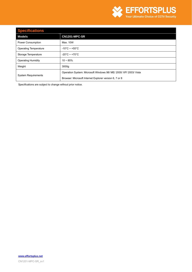

## **Specifications**  Models **CN1201-MPC-SR** Power Consumption Max. 10W Operating Temperature | -10°C ~ +55°C Storage Temperature | -20°C ~ +70°C Operating Humidity 10 ~ 85% Weight 3000g System Requirements Operation System: Microsoft Windows 98/ ME/ 2000/ XP/ 2003/ Vista Browser: Microsoft Internet Explorer version 6, 7 or 8

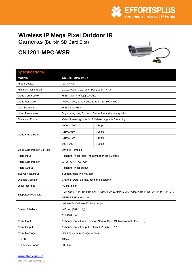

# <span id="page-5-0"></span>**Wireless IP Mega Pixel Outdoor IR**

**Cameras** (Built-in SD Card Slot)

# **CN1201-MPC-WSR**



## **Specifications**

| <b>Models</b>              | CN1201-MPC-WSR                                   |                                                                                         |  |
|----------------------------|--------------------------------------------------|-----------------------------------------------------------------------------------------|--|
| Image Device               | 1/3" CMOS                                        |                                                                                         |  |
| Minimum Illumination       | 0.3Lux (Color), 0.01Lux (B/W), 0Lux (IR On)      |                                                                                         |  |
| Video Compression          | H.264 Main Profile@ Level3.0                     |                                                                                         |  |
| Video Resolution           | 1600 x 1200, 1280 x 960, 1280 x 720, 800 x 600   |                                                                                         |  |
| Dual Streaming             | <b>H.264 &amp; MJPEG</b>                         |                                                                                         |  |
| Video Parameters           |                                                  | Brightness, Hue, Contrast, Saturation and Image quality                                 |  |
| <b>Streaming Format</b>    |                                                  | Video Streaming or Audio & Video composite Streaming                                    |  |
|                            | 1600 x 1200                                      | $1-15$ fps                                                                              |  |
|                            | 1280 x 960                                       | $1-25$ fps                                                                              |  |
| Video Frame Rate           | 1280 x 720                                       | $1-30$ fps                                                                              |  |
|                            | 800 x 600                                        | $1-30$ fps                                                                              |  |
| Video Compression Bit Rate | 30Kbit/s - 8Mbit/s                               |                                                                                         |  |
| Audio Input                | 1 channel linear input, Input Impedance: 1K ohms |                                                                                         |  |
| Audio Compression          | G.726, G.711, ADPCM                              |                                                                                         |  |
| Audio Output               | 1 channel linear output                          |                                                                                         |  |
| Two-way talk input         | Support Audio two-way talk                       |                                                                                         |  |
| Overlaid Caption           | Channel, Date, Bit rate, position adjustable     |                                                                                         |  |
| Local recording            | PC Hard disk                                     |                                                                                         |  |
| <b>Supported Protocols</b> |                                                  | TCP, UDP, IP, HTTP, FTP, SMTP, DHCP, DNS, ARP, ICMP, POP3, NTP, IPsec, UPNP, RTP, RTCP, |  |
|                            | 3GPP, RTSP and so on                             |                                                                                         |  |
|                            | 10Base-T/ 100Base-TX Ethernet port               |                                                                                         |  |
| System Interface           | Wifi port (802.11b/g)                            |                                                                                         |  |
|                            | 1x RS485 port                                    |                                                                                         |  |
| Alarm Input                |                                                  | 1 channel on/ off input, support Normal Open (NO) or Normal Close (NC)                  |  |
| Alarm Output               | 1 channel on/ off output, 120VAC 1A/ 24VDC 1A    |                                                                                         |  |
| Alarm Message              | Sending alarm message by email                   |                                                                                         |  |
| IR LED                     | 48pcs                                            |                                                                                         |  |
| IR Effective Range         | 30-50m                                           |                                                                                         |  |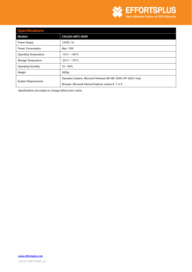

## **Specifications**

| $\sim$ potentiacanome<br>T   |                                                                   |
|------------------------------|-------------------------------------------------------------------|
| Models                       | CN1201-MPC-WSR                                                    |
| Power Supply                 | 12VDC 1A                                                          |
| Power Consumption            | Max. 10W                                                          |
| <b>Operating Temperature</b> | $-10^{\circ}$ C ~ +55 $^{\circ}$ C                                |
| Storage Temperature          | $-20^{\circ}$ C ~ +70 $^{\circ}$ C                                |
| <b>Operating Humidity</b>    | $10 - 85%$                                                        |
| Weight                       | 3000g                                                             |
|                              | Operation System: Microsoft Windows 98/ ME/ 2000/ XP/ 2003/ Vista |
| <b>System Requirements</b>   | Browser: Microsoft Internet Explorer version 6, 7 or 8            |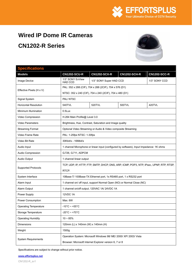

## <span id="page-7-0"></span>**Wired IP Dome IR Cameras**

## **CN1202-R Series**



## **Specifications Models CN1202-SCU-R CN1202-SCX-R CN1202-SCH-R CN1202-SCC-R** Image Device  $\begin{array}{|c|c|c|}\n\hline\n1/3" SONY ExView \\
\hline\n\end{array}$ 1/3" SONY Super HAD CCD 1/3" SONY CCD Effective Pixels (H x V) PAL: 352 x 288 (CIF), 704 x 288 (2CIF), 704 x 576 (D1) NTSC: 352 x 240 (CIF), 704 x 240 (2CIF), 704 x 480 (D1) Signal System **PAL/ NTSC** Horizontal Resolution **Fig. 1.420TVL** 520TVL 520TVL 520TVL 500TVL Minimum Illumination 0.5Lux Video Compression | H.264 Main Profile@ Level 3.0 Video Parameters **Brightness**, Hue, Contrast, Saturation and Image quality Streaming Format Optional Video Streaming or Audio & Video composite Streaming Video Frame Rate | PAL: 1-25fps NTSC: 1-30fps Video Bit Rate  $\vert$  30Kbit/s - 16Mbit/s Audio Input 1 channel Microphone or linear input (configured by software), Input Impedance: 1K ohms Audio Compression <br> G.726, G.711, ADPCM Audio Output 1 channel linear output Supported Protocols TCP, UDP, IP, HTTP, FTP, SMTP, DHCP, DNS, ARP, ICMP, POP3, NTP, IPsec, UPNP, RTP, RTSP, RTCP. System Interface 10Base-T/ 100Base-TX Ethernet port, 1x RS485 port, 1x RS232 port Alarm Input 1 channel on/ off input, support Normal Open (NO) or Normal Close (NC) Alarm Output 1 channel on/off output, 120VAC 1A/ 24VDC 1A Power Supply 12VDC 1A Power Consumption Max. 6W Operating Temperature | -10°C ~ +55°C Storage Temperature | -20°C ~ +70°C Operating Humidity 10 ~ 85% Dimensions 120mm (L) x 140mm (W) x 140mm (H) Weight 1500g System Requirements Operation System: Microsoft Windows 98/ ME/ 2000/ XP/ 2003/ Vista Browser: Microsoft Internet Explorer version 6, 7 or 8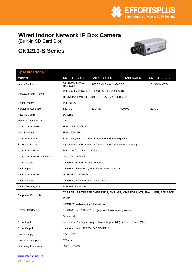

# <span id="page-8-0"></span>**Wired Indoor Network IP Box Camera**

(Built-in SD Card Slot)

# **CN1210-S Series**



| <b>Specifications</b>        |                                                              |                                                                                         |                     |                     |  |
|------------------------------|--------------------------------------------------------------|-----------------------------------------------------------------------------------------|---------------------|---------------------|--|
| <b>Models</b>                | <b>CN1210-SCU-S</b>                                          | <b>CN1210-SCX-S</b>                                                                     | <b>CN1210-SCH-S</b> | <b>CN1210-SCC-S</b> |  |
| Image Device                 | 1/3" SONY ExView<br><b>HAD CCD</b>                           | 1/3" SONY Super HAD CCD                                                                 |                     | 1/3" SONY CCD       |  |
|                              | PAL: 352 x 288 (CIF), 704 x 288 (2CIF), 704 x 576 (D1)       |                                                                                         |                     |                     |  |
| Effective Pixels (H x V)     |                                                              | NTSC: 352 x 240 (CIF), 704 x 240 (2CIF), 704 x 480 (D1)                                 |                     |                     |  |
| Signal System                | PAL/NTSC                                                     |                                                                                         |                     |                     |  |
| <b>Horizontal Resolution</b> | 540TVL                                                       | 520TVL                                                                                  | 500TVL              | 420TVL              |  |
| Auto Iris Control            | DC Drive                                                     |                                                                                         |                     |                     |  |
| Minimum Illumination         | $0.5$ Lux                                                    |                                                                                         |                     |                     |  |
| Video Compression            | H.264 Main Profile 3.0                                       |                                                                                         |                     |                     |  |
| Dual Streaming               | <b>H.264 &amp; MJPEG</b>                                     |                                                                                         |                     |                     |  |
| <b>Video Parameters</b>      |                                                              | Brightness, Hue, Contrast, Saturation and Image quality                                 |                     |                     |  |
| <b>Streaming Format</b>      |                                                              | Optional Video Streaming or Audio & Video composite Streaming                           |                     |                     |  |
| Video Frame Rate             | PAL: 1-25 fps; NTSC: 1-30 fps                                |                                                                                         |                     |                     |  |
| Video Compression Bit Rate   | 30Kbit/S - 16Mbit/S                                          |                                                                                         |                     |                     |  |
| Video Output                 | 1 channel composite video output                             |                                                                                         |                     |                     |  |
| Audio Input                  | 1 channel, linear input, Input Impedance: 1K ohms            |                                                                                         |                     |                     |  |
| Audio Compression            | G.726, G.711, ADPCM                                          |                                                                                         |                     |                     |  |
| Audio Output                 | 1 channel, RCA interface, linear output                      |                                                                                         |                     |                     |  |
| Audio Two-way Talk           | Built in Audio I/O port                                      |                                                                                         |                     |                     |  |
|                              |                                                              | TCP, UDP, IP, HTTP, FTP, SMTP, DHCP, DNS, ARP, ICMP, POP3, NTP, IPsec, UPNP, RTP, RTCP, |                     |                     |  |
| <b>Supported Protocols</b>   | RTSP.                                                        |                                                                                         |                     |                     |  |
|                              | 10M/100M self-adapting Ethernet port                         |                                                                                         |                     |                     |  |
| System Interface             | 1x RS485 port, 1 RS232 port (supports transparent protocols) |                                                                                         |                     |                     |  |
|                              | SD card slot                                                 |                                                                                         |                     |                     |  |
| Alarm Input                  |                                                              | 1channel on/ off input, support Normal Open (NO) or Normal Close (NC)                   |                     |                     |  |
| Alarm Output                 | 1 channel on/off, 120VAC 1A/ 24VDC 1A                        |                                                                                         |                     |                     |  |
| Power Supply                 | 12VDC 1A                                                     |                                                                                         |                     |                     |  |
| Power Consumption            | 6W Max.                                                      |                                                                                         |                     |                     |  |
| Operating Temperature        | $-10^{\circ}$ C $- +55^{\circ}$ C                            |                                                                                         |                     |                     |  |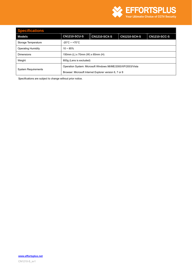

| <b>Specifications</b>                                        |                                                        |                     |                     |                     |
|--------------------------------------------------------------|--------------------------------------------------------|---------------------|---------------------|---------------------|
| <b>Models</b>                                                | <b>CN1210-SCU-S</b>                                    | <b>CN1210-SCX-S</b> | <b>CN1210-SCH-S</b> | <b>CN1210-SCC-S</b> |
| Storage Temperature                                          | $-20^{\circ}$ C ~ +70 $^{\circ}$ C                     |                     |                     |                     |
| <b>Operating Humidity</b>                                    | $10 \sim 85\%$                                         |                     |                     |                     |
| <b>Dimensions</b>                                            | 150mm (L) x 70mm (W) x 65mm (H)                        |                     |                     |                     |
| Weight                                                       | 800g (Lens is excluded)                                |                     |                     |                     |
| Operation System: Microsoft Windows 98/ME/2000/XP/2003/Vista |                                                        |                     |                     |                     |
| <b>System Requirements</b>                                   | Browser: Microsoft Internet Explorer version 6, 7 or 8 |                     |                     |                     |

**www.effortsplus.net**

CN1210-S\_sv1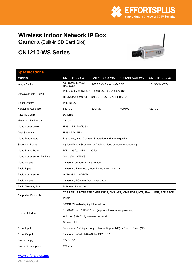

# <span id="page-10-0"></span>**Wireless Indoor Network IP Box**

**Camera** (Built-in SD Card Slot)

# **CN1210-WS Series**



| <b>Specifications</b>        |                                                              |                                                                                         |                      |                      |  |
|------------------------------|--------------------------------------------------------------|-----------------------------------------------------------------------------------------|----------------------|----------------------|--|
| <b>Models</b>                | <b>CN1210-SCU-WS</b>                                         | <b>CN1210-SCX-WS</b>                                                                    | <b>CN1210-SCH-WS</b> | <b>CN1210-SCC-WS</b> |  |
| Image Device                 | 1/3" SONY ExView<br><b>HAD CCD</b>                           | 1/3" SONY CCD<br>1/3" SONY Super HAD CCD                                                |                      |                      |  |
|                              | PAL: 352 x 288 (CIF), 704 x 288 (2CIF), 704 x 576 (D1)       |                                                                                         |                      |                      |  |
| Effective Pixels (H x V)     | NTSC: 352 x 240 (CIF), 704 x 240 (2CIF), 704 x 480 (D1)      |                                                                                         |                      |                      |  |
| Signal System                | PAL/NTSC                                                     |                                                                                         |                      |                      |  |
| <b>Horizontal Resolution</b> | 540TVL                                                       | 520TVL                                                                                  | 500TVL               | 420TVL               |  |
| Auto Iris Control            | DC Drive                                                     |                                                                                         |                      |                      |  |
| Minimum Illumination         | $0.5$ Lux                                                    |                                                                                         |                      |                      |  |
| Video Compression            | H.264 Main Profile 3.0                                       |                                                                                         |                      |                      |  |
| Dual Streaming               | <b>H.264 &amp; MJPEG</b>                                     |                                                                                         |                      |                      |  |
| Video Parameters             |                                                              | Brightness, Hue, Contrast, Saturation and Image quality                                 |                      |                      |  |
| <b>Streaming Format</b>      |                                                              | Optional Video Streaming or Audio & Video composite Streaming                           |                      |                      |  |
| Video Frame Rate             | PAL: 1-25 fps; NTSC: 1-30 fps                                |                                                                                         |                      |                      |  |
| Video Compression Bit Rate   | 30Kbit/S - 16Mbit/S                                          |                                                                                         |                      |                      |  |
| Video Output                 | 1 channel composite video output                             |                                                                                         |                      |                      |  |
| Audio Input                  | 1 channel, linear input, Input Impedance: 1K ohms            |                                                                                         |                      |                      |  |
| Audio Compression            | G.726, G.711, ADPCM                                          |                                                                                         |                      |                      |  |
| Audio Output                 | 1 channel, RCA interface, linear output                      |                                                                                         |                      |                      |  |
| Audio Two-way Talk           | Built in Audio I/O port                                      |                                                                                         |                      |                      |  |
|                              |                                                              | TCP, UDP, IP, HTTP, FTP, SMTP, DHCP, DNS, ARP, ICMP, POP3, NTP, IPsec, UPNP, RTP, RTCP, |                      |                      |  |
| <b>Supported Protocols</b>   | RTSP.                                                        |                                                                                         |                      |                      |  |
|                              | 10M/100M self-adapting Ethernet port                         |                                                                                         |                      |                      |  |
|                              | 1x RS485 port, 1 RS232 port (supports transparent protocols) |                                                                                         |                      |                      |  |
| System Interface             | WiFi port (802.11b/g wireless network)                       |                                                                                         |                      |                      |  |
|                              | SD card slot                                                 |                                                                                         |                      |                      |  |
| Alarm Input                  |                                                              | 1channel on/ off input, support Normal Open (NO) or Normal Close (NC)                   |                      |                      |  |
| Alarm Output                 | 1 channel on/ off, 120VAC 1A/ 24VDC 1A                       |                                                                                         |                      |                      |  |
| Power Supply                 | 12VDC 1A                                                     |                                                                                         |                      |                      |  |
| Power Consumption            | 6W Max.                                                      |                                                                                         |                      |                      |  |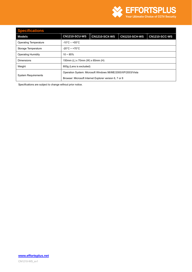

## **Specifications Models CN1210-SCU-WS CN1210-SCX-WS CN1210-SCH-WS CN1210-SCC-WS** Operating Temperature | -10°C – +55°C Storage Temperature  $\Big|$  -20°C ~ +70°C Operating Humidity 10 ~ 85% Dimensions 150mm (L) x 70mm (W) x 65mm (H) Weight **800g** (Lens is excluded) System Requirements Operation System: Microsoft Windows 98/ME/2000/XP/2003/Vista Browser: Microsoft Internet Explorer version 6, 7 or 8

Specifications are subject to change without prior notice.

**www.effortsplus.net** CN1210-WS\_sv1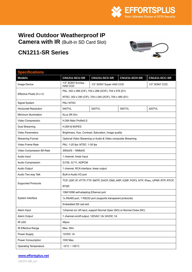

## <span id="page-12-0"></span>**Wired Outdoor Weatherproof IP Camera with IR** (Built-in SD Card Slot)

## **CN1211-SR Series**



| <b>Specifications</b>        |                                                                                         |                                                                       |               |                      |  |
|------------------------------|-----------------------------------------------------------------------------------------|-----------------------------------------------------------------------|---------------|----------------------|--|
| <b>Models</b>                | <b>CN1211-SCU-SR</b>                                                                    | <b>CN1211-SCX-SR</b>                                                  | CN1211-SCH-SR | <b>CN1211-SCC-SR</b> |  |
| Image Device                 | 1/3" SONY ExView<br><b>HAD CCD</b>                                                      | 1/3" SONY Super HAD CCD<br>1/3" SONY CCD                              |               |                      |  |
| Effective Pixels (H x V)     |                                                                                         | PAL: 352 x 288 (CIF), 704 x 288 (2CIF), 704 x 576 (D1)                |               |                      |  |
|                              |                                                                                         | NTSC: 352 x 240 (CIF), 704 x 240 (2CIF), 704 x 480 (D1)               |               |                      |  |
| Signal System                | PAL/NTSC                                                                                |                                                                       |               |                      |  |
| <b>Horizontal Resolution</b> | 540TVL                                                                                  | 520TVL                                                                | 500TVL        | 420TVL               |  |
| Minimum Illumination         | 0Lux (IR On)                                                                            |                                                                       |               |                      |  |
| Video Compression            | H.264 Main Profile3.0                                                                   |                                                                       |               |                      |  |
| Dual Streaming               | <b>H.264 &amp; MJPEG</b>                                                                |                                                                       |               |                      |  |
| Video Parameters             |                                                                                         | Brightness, Hue, Contrast, Saturation, Image quality                  |               |                      |  |
| <b>Streaming Format</b>      |                                                                                         | Optional Video Streaming or Audio & Video composite Streaming         |               |                      |  |
| Video Frame Rate             | PAL: 1-25 fps; NTSC: 1-30 fps                                                           |                                                                       |               |                      |  |
| Video Compression Bit Rate   | 30Kbit/S - 16Mbit/S                                                                     |                                                                       |               |                      |  |
| Audio Input                  | 1 channel, linear Input                                                                 |                                                                       |               |                      |  |
| Audio Compression            | G.726, G.711, ADPCM                                                                     |                                                                       |               |                      |  |
| Audio Output                 | 1 channel, RCA interface, linear output                                                 |                                                                       |               |                      |  |
| Audio Two-way Talk           | Built in Audio I/O port                                                                 |                                                                       |               |                      |  |
|                              | TCP, UDP, IP, HTTP, FTP, SMTP, DHCP, DNS, ARP, ICMP, POP3, NTP, IPsec, UPNP, RTP, RTCP, |                                                                       |               |                      |  |
| <b>Supported Protocols</b>   | RTSP.                                                                                   |                                                                       |               |                      |  |
|                              | 10M/100M self-adapting Ethernet port                                                    |                                                                       |               |                      |  |
| System Interface             |                                                                                         | 1x RS485 port, 1 RS232 port (supports transparent protocols)          |               |                      |  |
|                              | Embedded SD cad slot                                                                    |                                                                       |               |                      |  |
| Alarm Input                  |                                                                                         | 1channel on/ off input, support Normal Open (NO) or Normal Close (NC) |               |                      |  |
| Alarm Output                 |                                                                                         | 1 channel on/off output, 120VAC 1A/24VDC 1A                           |               |                      |  |
| IR LED                       | 48pcs                                                                                   |                                                                       |               |                      |  |
| IR Effective Range           | Max. 50m                                                                                |                                                                       |               |                      |  |
| Power Supply                 | 12VDC 1A                                                                                |                                                                       |               |                      |  |
| Power Consumption            | 10W Max.                                                                                |                                                                       |               |                      |  |
| <b>Operating Temperature</b> | $-10^{\circ}$ C ~ +55 $^{\circ}$ C                                                      |                                                                       |               |                      |  |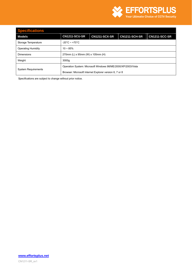

| <b>Specifications</b>                                        |                                                        |                      |                      |                      |
|--------------------------------------------------------------|--------------------------------------------------------|----------------------|----------------------|----------------------|
| Models                                                       | <b>CN1211-SCU-SR</b>                                   | <b>CN1211-SCX-SR</b> | <b>CN1211-SCH-SR</b> | <b>CN1211-SCC-SR</b> |
| Storage Temperature                                          | $-20^{\circ}$ C ~ +70 $^{\circ}$ C                     |                      |                      |                      |
| Operating Humidity                                           | $10 - 85%$                                             |                      |                      |                      |
| <b>Dimensions</b>                                            | 270mm (L) x 95mm (W) x 105mm (H)                       |                      |                      |                      |
| Weight                                                       | 3000q                                                  |                      |                      |                      |
| Operation System: Microsoft Windows 98/ME/2000/XP/2003/Vista |                                                        |                      |                      |                      |
| <b>System Requirements</b>                                   | Browser: Microsoft Internet Explorer version 6, 7 or 8 |                      |                      |                      |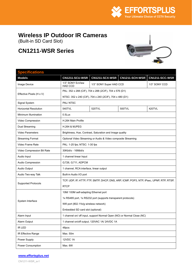

## <span id="page-14-0"></span>**Wireless IP Outdoor IR Cameras**

(Built-in SD Card Slot)

## **CN1211-WSR Series**



## **Specifications Models CN1211-SCU-WSR CN1211-SCX-WSR CN1211-SCH-WSR CN1211-SCC-WSR** Image Device  $\begin{array}{|c|c|c|c|}\n\hline\n1/3" SONY ExView \\
HBDCCD\n\end{array}$ 1/3" SONY Super HAD CCD 1/3" SONY CCD Effective Pixels (H x V) PAL: 352 x 288 (CIF), 704 x 288 (2CIF), 704 x 576 (D1) NTSC: 352 x 240 (CIF), 704 x 240 (2CIF), 704 x 480 (D1) Signal System **PAL/ NTSC** Horizontal Resolution 540TVL 520TVL 500TVL 420TVL Minimum Illumination **0.5Lux** Video Compression **H.264 Main Profile** Dual Streaming H.264 & MJPEG Video Parameters **Brightness**, Hue, Contrast, Saturation and Image quality Streaming Format Optional Video Streaming or Audio & Video composite Streaming Video Frame Rate PAL: 1-25 fps; NTSC: 1-30 fps Video Compression Bit Rate | 30Kbit/s - 16Mbit/s Audio Input 1 channel linear Input Audio Compression <br> G.726, G.711, ADPCM Audio Output 1 channel, RCA interface, linear output Audio Two-way Talk Built-in Audio I/O port Supported Protocols TCP, UDP, IP, HTTP, FTP, SMTP, DHCP, DNS, ARP, ICMP, POP3, NTP, IPsec, UPNP, RTP, RTSP, **RTCP** System Interface 10M/ 100M self-adapting Ethernet port 1x RS485 port, 1x RS232 port (supports transparent protocols) Wifi port (802.11b/g wireless network) Embedded SD card slot (optional) Alarm Input 1 channel on/ off input, support Normal Open (NO) or Normal Close (NC) Alarm Output 1 channel on/off output, 120VAC 1A/ 24VDC 1A IR LED 48pcs IR Effective Range Max. 50m Power Supply 12VDC 1A Power Consumption Max. 6W

#### **www.effortsplus.net**

CN1211-WSR\_sv1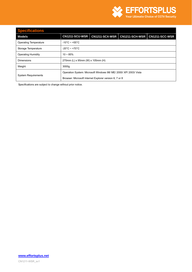

## **Specifications Models CN1211-SCU-WSR CN1211-SCX-WSR CN1211-SCH-WSR CN1211-SCC-WSR** Operating Temperature | -10°C ~ +55°C Storage Temperature  $\Big|$  -20°C ~ +70°C Operating Humidity 10 ~ 85% Dimensions 270mm (L) x 95mm (W) x 105mm (H) Weight 3000g System Requirements Operation System: Microsoft Windows 98/ ME/ 2000/ XP/ 2003/ Vista Browser: Microsoft Internet Explorer version 6, 7 or 8

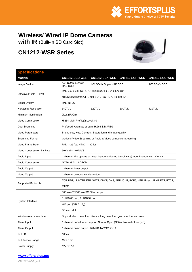

## <span id="page-16-0"></span>**Wireless/ Wired IP Dome Cameras**

**with IR** (Built-in SD Card Slot)

## **CN1212-WSR Series**



## **Specifications Models CN1212-SCU-WSR CN1212-SCX-WSR CN1212-SCH-WSR CN1212-SCC-WSR** Image Device  $\left| \begin{array}{c} 1/3" \ \, \text{SONY} \ \, \text{HAD CCD} \end{array} \right|$ 1/3" SONY Super HAD CCD 1/3" SONY CCD Effective Pixels (H x V) PAL: 352 x 288 (CIF), 704 x 288 (2CIF), 704 x 576 (D1) NTSC: 352 x 240 (CIF), 704 x 240 (2CIF), 704 x 480 (D1) Signal System **PAL/ NTSC** Horizontal Resolution 540TVL 520TVL 500TVL 420TVL Minimum Illumination | 0Lux (IR On) Video Compression **H.264 Main Profile** Cevel 3.0 Dual Streaming **Preferred, Altemate stream: H.264 & MJPEG** Video Parameters **Brightness**, Hue, Contrast, Saturation and Image quality Streaming Format Optional Video Streaming or Audio & Video composite Streaming Video Frame Rate **PAL: 1-25 fps; NTSC: 1-30 fps** Video Compression Bit Rate | 30Kbit/S - 16Mbit/S Audio Input 1 channel Microphone or linear input (configured by software) Input Impedance: 1K ohms Audio Compression <br> G.726, G.711, ADPCM Audio Output 1 channel linear output Video Output 1 channel composite video output Supported Protocols TCP, UDP, IP, HTTP, FTP, SMTP, DHCP, DNS, ARP, ICMP, POP3, NTP, IPsec, UPNP, RTP, RTCP, **RTSP** 10Base- T/100Base-TX Ethernet port 1x RS485 port, 1x RS232 port Wifi port (802.11b/g) System Interface SD card slot Wireless Alarm Interface Support alarm detectors, like smoking detectors, gas detectors and so on. Alarm Input 1 channel on/ off input, support Normal Open (NO) or Normal Close (NC) Alarm Output 1 channel on/off output, 120VAC 1A/ 24VDC 1A IR LED 16pcs IR Effective Range Nax. 10m Power Supply 12VDC 1A

#### **www.effortsplus.net**

CN1212-WSR\_sv1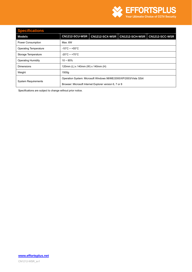

## **Specifications Models CN1212-SCU-WSR CN1212-SCX-WSR CN1212-SCH-WSR CN1212-SCC-WSR** Power Consumption Max. 6W Operating Temperature | -10°C ~ +55°C Storage Temperature | -20°C ~ +70°C Operating Humidity 10 ~ 85% Dimensions 120mm (L) x 140mm (W) x 140mm (H) Weight 1500g System Requirements Operation System: Microsoft Windows 98/ME/2000/XP/2003/Vista 32bit Browser: Microsoft Internet Explorer version 6, 7 or 8

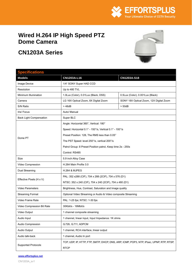

## <span id="page-18-0"></span>**Wired H.264 IP High Speed PTZ Dome Camera**

# **CN1203A Series**



## **Specifications Models CN1203A-L16 CN1203A-S18**  Image Device  $\vert$  1/4" SONY Super HAD CCD Resolution Dup to 480 TVL Minimum Illumination 1.0Lux (Color), 0.01Lux (Black, DSS) 0.5Lux (Color), 0.001Lux (Black) Camera **LG 16X Optical Zoom, 8X Digital Zoom** SONY 18X Optical Zoom, 12X Digital Zoom S/N Ratio > 48dB > 50dB Iris/ Focus **Auto/ Manual** Back Light Compensation | Super BLC Dome PT Angle: Horizontal 360°, Vertical: 180° Speed: Horizontal 0.1° - 150°/s, Vertical 0.1° - 100°/s Preset Position: 128, The RMS less than 0.05° The PST Speed: level 250°/s, vertical 200°/s Patrol Group: 8 Preset Position patrol, Keep time 2s - 250s Control: RS485 Size 5.9 inch Alloy Case Video Compression | H.264 Main Profile 3.0 Dual Streaming H.264 & MJPEG Effective Pixels (H x V) PAL: 352 x288 (CIF), 704 x 288 (2CIF), 704 x 576 (D1) NTSC: 352 x 240 (CIF), 704 x 240 (2CIF), 704 x 480 (D1) Video Parameters **Brightness**, Hue, Contrast, Saturation and Image quality Streaming Format Optional Video Streaming or Audio & Video composite Streaming Video Frame Rate **PAL: 1-25 fps: NTSC: 1-30 fps** Video Compression Bit Rate | 30Kbit/s - 16Mbit/s Video Output 1 channel composite streaming Audio Input 1 channel, linear input, Input Impedance: 1K ohms Audio Compression G.726, G.711, ADPCM Audio Output 1 channel, RCA interface, linear output Audio talk-back 1 channel, Audio In port Supported Protocols TCP, UDP, IP, HTTP, FTP, SMTP, DHCP, DNS, ARP, ICMP, POP3, NTP, IPsec, UPNP, RTP, RTSP, RTCP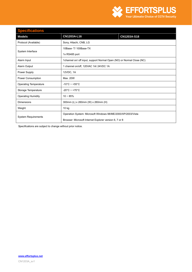

| <b>Specifications</b>                                                                |                                                                       |             |  |  |
|--------------------------------------------------------------------------------------|-----------------------------------------------------------------------|-------------|--|--|
| <b>Models</b>                                                                        | CN1203A-L16                                                           | CN1203A-S18 |  |  |
| Protocol (Available)                                                                 | Sony, Hitachi, CNB, LG                                                |             |  |  |
|                                                                                      | 10Base-T/100Base-TX                                                   |             |  |  |
| System Interface                                                                     | 1x RS485 port                                                         |             |  |  |
| Alarm Input                                                                          | 1channel on/ off input, support Normal Open (NO) or Normal Close (NC) |             |  |  |
| Alarm Output                                                                         | 1 channel on/off, 120VAC 1A/24VDC 1A                                  |             |  |  |
| Power Supply                                                                         | 12VDC, 1A                                                             |             |  |  |
| Power Consumption                                                                    | Max. 20W                                                              |             |  |  |
| <b>Operating Temperature</b>                                                         | $-10^{\circ}$ C ~ +55 $^{\circ}$ C                                    |             |  |  |
| Storage Temperature                                                                  | $-20^{\circ}$ C ~ +70 $^{\circ}$ C                                    |             |  |  |
| <b>Operating Humidity</b>                                                            | $10 - 85%$                                                            |             |  |  |
| <b>Dimensions</b>                                                                    | 300mm (L) x 260mm (W) x 260mm (H)                                     |             |  |  |
| Weight                                                                               | 10 kg                                                                 |             |  |  |
|                                                                                      | Operation System: Microsoft Windows 98/ME/2000/XP/2003/Vista          |             |  |  |
| <b>System Requirements</b><br>Browser: Microsoft Internet Explorer version 6, 7 or 8 |                                                                       |             |  |  |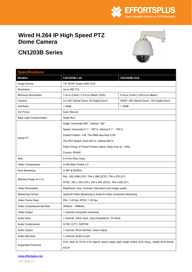

## <span id="page-20-0"></span>**Wired H.264 IP High Speed PTZ Dome Camera**

# **CN1203B Series**



| <b>Specifications</b>          |                                                                                         |                                         |  |  |
|--------------------------------|-----------------------------------------------------------------------------------------|-----------------------------------------|--|--|
| <b>Models</b>                  | CN1203B-L16                                                                             | CN1203B-S18                             |  |  |
| Image Device                   | 1/4" SONY Super HAD CCD                                                                 |                                         |  |  |
| Resolution                     | Up to 480 TVL                                                                           |                                         |  |  |
| Minimum Illumination           | 1.0Lux (Color), 0.01Lux (Black, DSS)                                                    | 0.5Lux (Color), 0.001Lux (Black)        |  |  |
| Camera                         | LG 16X Optical Zoom, 8X Digital Zoom                                                    | SONY 18X Optical Zoom, 12X Digital Zoom |  |  |
| S/N Ratio                      | >48dB                                                                                   | $>$ 50dB                                |  |  |
| Iris/ Focus                    | Auto/ Manual                                                                            |                                         |  |  |
| <b>Back Light Compensation</b> | Super BLC                                                                               |                                         |  |  |
|                                | Angle: Horizontal 360°, Vertical: 180°                                                  |                                         |  |  |
|                                | Speed: Horizontal 0.1° - 150°/s, Vertical 0.1° - 100°/s                                 |                                         |  |  |
| Dome PT                        | Preset Position: 128, The RMS less than 0.05°                                           |                                         |  |  |
|                                | The PST Speed: level 250°/s, vertical 200°/s                                            |                                         |  |  |
|                                | Patrol Group: 8 Preset Position patrol, Keep time 2s - 250s                             |                                         |  |  |
|                                | Control: RS485                                                                          |                                         |  |  |
| Size                           | 5.9 inch Alloy Case                                                                     |                                         |  |  |
| Video Compression              | H.264 Main Profile 3.0                                                                  |                                         |  |  |
| Dual Streaming                 | <b>H.264 &amp; MJPEG</b>                                                                |                                         |  |  |
|                                | PAL: 352 x288 (CIF), 704 x 288 (2CIF), 704 x 576 (D1)                                   |                                         |  |  |
| Effective Pixels (H x V)       | NTSC: 352 x 240 (CIF), 704 x 240 (2CIF), 704 x 480 (D1)                                 |                                         |  |  |
| Video Parameters               | Brightness, Hue, Contrast, Saturation and Image quality                                 |                                         |  |  |
| <b>Streaming Format</b>        | Optional Video Streaming or Audio & Video composite Streaming                           |                                         |  |  |
| Video Frame Rate               | PAL: 1-25 fps; NTSC: 1-30 fps                                                           |                                         |  |  |
| Video Compression Bit Rate     | 30Kbit/s - 16Mbit/s                                                                     |                                         |  |  |
| Video Output                   | 1 channel composite streaming                                                           |                                         |  |  |
| Audio Input                    | 1 channel, linear input, Input Impedance: 1K ohms                                       |                                         |  |  |
| Audio Compression              | G.726, G.711, ADPCM                                                                     |                                         |  |  |
| Audio Output                   | 1 channel, RCA interface, linear output                                                 |                                         |  |  |
| Audio talk-back                | 1 channel, Audio In port                                                                |                                         |  |  |
|                                | TCP, UDP, IP, HTTP, FTP, SMTP, DHCP, DNS, ARP, ICMP, POP3, NTP, IPsec, UPNP, RTP, RTSP, |                                         |  |  |
| <b>Supported Protocols</b>     | <b>RTCP</b>                                                                             |                                         |  |  |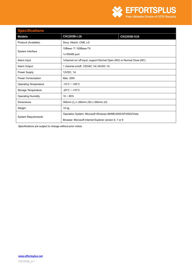

| <b>Specifications</b>        |                                                                       |             |
|------------------------------|-----------------------------------------------------------------------|-------------|
| <b>Models</b>                | CN1203B-L16                                                           | CN1203B-S18 |
| Protocol (Available)         | Sony, Hitachi, CNB, LG                                                |             |
| System Interface             | 10Base-T/100Base-TX                                                   |             |
|                              | 1x RS485 port                                                         |             |
| Alarm Input                  | 1channel on/ off input, support Normal Open (NO) or Normal Close (NC) |             |
| Alarm Output                 | 1 channel on/off, 120VAC 1A/24VDC 1A                                  |             |
| Power Supply                 | 12VDC, 1A                                                             |             |
| Power Consumption            | Max. 20W                                                              |             |
| <b>Operating Temperature</b> | $-10^{\circ}$ C ~ +55 $^{\circ}$ C                                    |             |
| Storage Temperature          | $-20^{\circ}$ C ~ +70 $^{\circ}$ C                                    |             |
| <b>Operating Humidity</b>    | $10 - 85%$                                                            |             |
| <b>Dimensions</b>            | 300mm (L) x 260mm (W) x 260mm (H)                                     |             |
| Weight                       | $10$ kg                                                               |             |
| <b>System Requirements</b>   | Operation System: Microsoft Windows 98/ME/2000/XP/2003/Vista          |             |
|                              | Browser: Microsoft Internet Explorer version 6, 7 or 8                |             |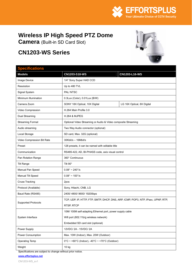

# <span id="page-22-0"></span>**Wireless IP High Speed PTZ Dome**

**Camera** (Built-in SD Card Slot)

## **CN1203-WS Series**

#### **Specifications**



| <b>Specifications</b>      |                                                                                   |                                                               |  |
|----------------------------|-----------------------------------------------------------------------------------|---------------------------------------------------------------|--|
| <b>Models</b>              | CN1203-S18-WS                                                                     | CN1203-L16-WS                                                 |  |
| Image Device               | 1/4" Sony Super HAD CCD                                                           |                                                               |  |
| Resolution                 | Up to 480 TVL                                                                     |                                                               |  |
| Signal System              | PAL/NTSC                                                                          |                                                               |  |
| Minimum Illumination       | 0.3Lux (Color), 0.01Lux (B/W)                                                     |                                                               |  |
| Camera Zoom                | SONY 18X Optical, 10X Digital                                                     | LG 16X Optical, 8X Digital                                    |  |
| Video Compression          | H.264 Main Profile 3.0                                                            |                                                               |  |
| Dual Streaming             | <b>H.264 &amp; MJPEG</b>                                                          |                                                               |  |
| <b>Streaming Format</b>    |                                                                                   | Optional Video Streaming or Audio & Video composite Streaming |  |
| Audio streaming            | Two Way Audio connector (optional)                                                |                                                               |  |
| Local Storage              | SD card, Max. 32G (optional)                                                      |                                                               |  |
| Video Compression Bit Rate | 30Kbit/s - 16Mbit/s                                                               |                                                               |  |
| Preset                     | 128 presets, it can be named with editable title                                  |                                                               |  |
| Communication              | RS485-422, AD, BI-PHASS code, axis visual control                                 |                                                               |  |
| Pan Rotation Range         | 360° Continuous                                                                   |                                                               |  |
| <b>Tilt Range</b>          | Tilt 90°                                                                          |                                                               |  |
| Manual Pan Speed           | $0.08^{\circ} \sim 240^{\circ}/s$                                                 |                                                               |  |
| Manual Tilt Speed          | $0.08^{\circ} \sim 100^{\circ}/s$                                                 |                                                               |  |
| <b>Cruse Tracking</b>      | 2pcs                                                                              |                                                               |  |
| Protocol (Available)       | Sony, Hitachi, CNB, LG                                                            |                                                               |  |
| Baud Rate (RS485)          | 2400/4800/9600/19200bps                                                           |                                                               |  |
|                            | TCP, UDP, IP, HTTP, FTP, SMTP, DHCP, DNS, ARP, ICMP, POP3, NTP, IPsec, UPNP, RTP, |                                                               |  |
| <b>Supported Protocols</b> | RTSP, RTCP                                                                        |                                                               |  |
|                            | 10M/ 100M self-adapting Ethernet port, power supply cable                         |                                                               |  |
| System Interface           | Wifi port (802.11b/g wireless network)                                            |                                                               |  |
|                            | Embedded SD card slot (optional)                                                  |                                                               |  |
| Power Supply               | 12VDC/2A - 15VDC/2A                                                               |                                                               |  |
| Power Consumption          | Max. 10W (Indoor), Max. 20W (Outdoor)                                             |                                                               |  |
| Operating Temp             | $0^{\circ}$ C ~ +60°C (Indoor), -40°C ~ +70°C (Outdoor)                           |                                                               |  |
| Weight                     | 10 kg                                                                             |                                                               |  |

Specifications are subject to change without prior notice.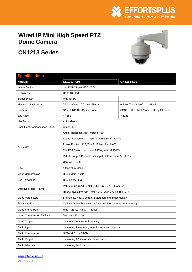

## <span id="page-23-0"></span>**Wired IP Mini High Speed PTZ Dome Camera**

**CN1213 Series** 



| <b>Specifications</b>         |                                                               |                                         |  |
|-------------------------------|---------------------------------------------------------------|-----------------------------------------|--|
| <b>Models</b>                 | CN1213-A10                                                    | CN1213-S10                              |  |
| Image Device                  | 1/4 SONY Super HAD CCD                                        |                                         |  |
| <b>Resolution</b>             | Up to 480 TVL                                                 |                                         |  |
| Signal System                 | PAL/NTSC                                                      |                                         |  |
| Minimum Illumination          | 0.5Lux (Color), 0.01Lux (Black)                               | 0.5Lux (Color), 0.001Lux (Black)        |  |
| Camera                        | SAMSUNG 10X Optical Zoom                                      | SONY 10X Optical Zoom, 10X Digital Zoom |  |
| S/N Ratio                     | > 48dB                                                        | $>$ 50dB                                |  |
| Iris/ Focus                   | Auto/ Manual                                                  |                                         |  |
| Back Light Compensation (BLC) | Super BLC                                                     |                                         |  |
|                               | Angle: Horizontal 360°, Vertical 180°                         |                                         |  |
|                               | Speed: Horizontal 0.1°-150°/s, Vertical 0.1°- 100°/s          |                                         |  |
| Dome PT                       | Preset Position: 128, The RMS less than 0.05°                 |                                         |  |
|                               | The PST Speed: Horizontal 250°/s, vertical 200°/s             |                                         |  |
|                               | Patrol Group: 8 Preset Position patrol, Keep time 2s ~ 250s   |                                         |  |
|                               | Control: RS485                                                |                                         |  |
| Size                          | 4 Inch Alloy Case                                             |                                         |  |
| Video Compression             | H.264 Main Profile                                            |                                         |  |
| Dual Streaming                | <b>H.264 &amp; MJPEG</b>                                      |                                         |  |
|                               | PAL: 352 x288 (CIF), 704 x 288 (2CIF), 704 x 576 (D1)         |                                         |  |
| Effective Pixels (H x V)      | NTSC: 352 x 240 (CIF), 704 x 240 (2CIF), 704 x 480 (D1)       |                                         |  |
| <b>Video Parameters</b>       | Brightness, Hue, Contrast, Saturation and Image quality       |                                         |  |
| <b>Streaming Format</b>       | Optional Video Streaming or Audio & Video composite Streaming |                                         |  |
| Video Frame Rate              | PAL: 1-25 fps; NTSC: 1-30 fps                                 |                                         |  |
| Video Compression Bit Rate    | 30Kbit/s - 16Mbit/s                                           |                                         |  |
| Video Output                  | 1 channel composite Streaming                                 |                                         |  |
| Audio Input                   | 1 channel, linear input, Input Impedance: 1K ohms             |                                         |  |
| Audio Compression             | G.726, G.711, ADPCM                                           |                                         |  |
| Audio Output                  | 1 channel, RCA interface, linear output                       |                                         |  |
| Audio talk-back               | 1 channel, Audio In port                                      |                                         |  |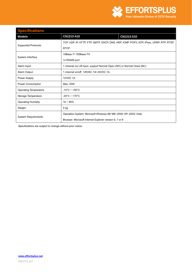

| <b>Specifications</b>        |                                    |                                                                                         |  |
|------------------------------|------------------------------------|-----------------------------------------------------------------------------------------|--|
| <b>Models</b>                | CN1213-A10                         | CN1213-S10                                                                              |  |
| <b>Supported Protocols</b>   |                                    | TCP, UDP, IP, HTTP, FTP, SMTP, DHCP, DNS, ARP, ICMP, POP3, NTP, IPsec, UPNP, RTP, RTSP, |  |
|                              | <b>RTCP</b>                        |                                                                                         |  |
| System Interface             | 10Base-T/100Base-TX                |                                                                                         |  |
|                              | 1x RS485 port                      |                                                                                         |  |
| Alarm Input                  |                                    | 1 channel on/ off input, support Normal Open (NO) or Normal Close (NC)                  |  |
| Alarm Output                 |                                    | 1 channel on/off, 120VAC 1A/24VDC 1A                                                    |  |
| Power Supply                 | 12VDC 1A                           |                                                                                         |  |
| Power Consumption            | Max. 20W                           |                                                                                         |  |
| <b>Operating Temperature</b> | $-10^{\circ}$ C ~ +55 $^{\circ}$ C |                                                                                         |  |
| Storage Temperature          | $-20^{\circ}$ C ~ +70 $^{\circ}$ C |                                                                                         |  |
| <b>Operating Humidity</b>    | $10 - 85%$                         |                                                                                         |  |
| Weight                       | $5$ kg                             |                                                                                         |  |
| <b>System Requirements</b>   |                                    | Operation System: Microsoft Windows 98/ ME/ 2000/ XP/ 2003/ Vista                       |  |
|                              |                                    | Browser: Microsoft Internet Explorer version 6, 7 or 8                                  |  |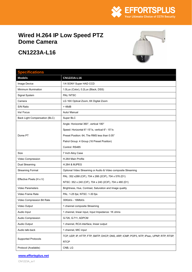

## <span id="page-25-0"></span>**Wired H.264 IP Low Speed PTZ Dome Camera**

# **CN1223A-L16**



## **Specifications Models CN1223A-L16**  Image Device 1/4 SONY Super HAD CCD Minimum Illumination | 1.0Lux (Color), 0.2Lux (Black, DSS) Signal System PAL/ NTSC Camera **LG 16X Optical Zoom, 8X Digital Zoom** S/N Ratio  $\vert$  > 48dB Iris/ Focus **Auto/ Manual** Back Light Compensation (BLC) Super BLC Angle: Horizontal 360°, vertical 180° Speed: Horizontal 6°-15°/s, vertical 6°- 15°/s Preset Position: 64, The RMS less than 0.05° Patrol Group: 4 Group (16 Preset Position) Control: RS485

|                            | Angle: Horizontal 360°, vertical 180°                                                   |  |
|----------------------------|-----------------------------------------------------------------------------------------|--|
|                            | Speed: Horizontal 6°-15°/s, vertical 6°-15°/s                                           |  |
| Dome PT                    | Preset Position: 64, The RMS less than 0.05°                                            |  |
|                            | Patrol Group: 4 Group (16 Preset Position)                                              |  |
|                            | Control: RS485                                                                          |  |
| Size                       | 7 Inch Ailoy Case                                                                       |  |
| Video Compression          | H.264 Main Profile                                                                      |  |
| Dual Streaming             | <b>H.264 &amp; MJPEG</b>                                                                |  |
| <b>Streaming Format</b>    | Optional Video Streaming or Audio & Video composite Streaming                           |  |
| Effective Pixels (H x V)   | PAL: 352 x288 (CIF), 704 x 288 (2CIF), 704 x 576 (D1)                                   |  |
|                            | NTSC: 352 x 240 (CIF), 704 x 240 (2CIF), 704 x 480 (D1)                                 |  |
| <b>Video Parameters</b>    | Brightness, Hue, Contrast, Saturation and Image quality                                 |  |
| Video Frame Rate           | PAL: 1-25 fps; NTSC: 1-30 fps                                                           |  |
| Video Compression Bit Rate | 30Kbit/s - 16Mbit/s                                                                     |  |
| Video Output               | 1 channel composite Streaming                                                           |  |
| Audio Input                | 1 channel, linear input, Input Impedance: 1K ohms                                       |  |
| Audio Compression          | G.726, G.711, ADPCM                                                                     |  |
| Audio Output               | 1 channel, RCA interface, linear output                                                 |  |
| Audio talk-back            | 1 channel, MIC input                                                                    |  |
| <b>Supported Protocols</b> | TCP, UDP, IP, HTTP, FTP, SMTP, DHCP, DNS, ARP, ICMP, POP3, NTP, IPsec, UPNP, RTP, RTSP, |  |
|                            | <b>RTCP</b>                                                                             |  |
| Protocol (Available)       | CNB, LG                                                                                 |  |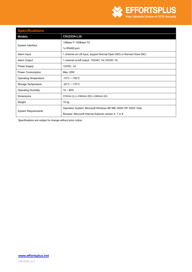

### **Specifications**

| <u>Predinduiblid</u>         |                                                                        |  |
|------------------------------|------------------------------------------------------------------------|--|
| <b>Models</b>                | CN1223A-L16                                                            |  |
| System Interface             | 10Base-T/100Base-TX                                                    |  |
|                              | 1x RS485 port                                                          |  |
| Alarm Input                  | 1 channel on/ off input, support Normal Open (NO) or Normal Close (NC) |  |
| Alarm Output                 | 1 channel on/off output, 120VAC 1A/ 24VDC 1A                           |  |
| Power Supply                 | 12VDC, 1A                                                              |  |
| Power Consumption            | Max. 20W                                                               |  |
| <b>Operating Temperature</b> | $-10^{\circ}$ C ~ +55 $^{\circ}$ C                                     |  |
| Storage Temperature          | $-20^{\circ}$ C ~ +70 $^{\circ}$ C                                     |  |
| <b>Operating Humidity</b>    | $10 - 85%$                                                             |  |
| <b>Dimensions</b>            | 310mm (L) x 240mm (W) x 240mm (H)                                      |  |
| Weight                       | 10 kg                                                                  |  |
| <b>System Requirements</b>   | Operation System: Microsoft Windows 98/ ME/ 2000/ XP/ 2003/ Vista      |  |
|                              | Browser: Microsoft Internet Explorer version 6, 7 or 8                 |  |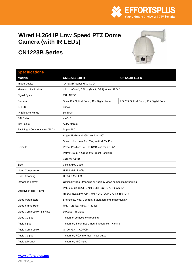

## <span id="page-27-0"></span>**Wired H.264 IP Low Speed PTZ Dome Camera (with IR LEDs)**

# **CN1223B Series**



## **Specifications Models CN1223B-S18-R CN1223B-L23-R**  Image Device 1/4 SONY Super HAD CCD Minimum Illumination 1.0Lux (Color), 0.2Lux (Black, DSS), 0Lux (IR On) Signal System **PAL/ NTSC** Camera Sony 18X Optical Zoom, 12X Digital Zoom LG 23X Optical Zoom, 10X Digital Zoom IR LED 36pcs IR Effective Range 50-100m  $S/N$  Ratio  $\vert$  > 48dB Iris/ Focus **Auto/ Manual** Back Light Compensation (BLC) Super BLC Dome PT Angle: Horizontal 360°, vertical 180° Speed: Horizontal 6°-15°/s, vertical 6°- 15/s Preset Position: 64, The RMS less than 0.05° Patrol Group: 4 Group (16 Preset Position) Control: RS485 Size 7 inch Ailoy Case Video Compression | H.264 Main Profile Dual Streaming **H.264 & MJPEG** Streaming Format **Optional Video Streaming or Audio & Video composite Streaming** Effective Pixels (H x V) PAL: 352 x288 (CIF), 704 x 288 (2CIF), 704 x 576 (D1) NTSC: 352 x 240 (CIF), 704 x 240 (2CIF), 704 x 480 (D1) Video Parameters **Brightness**, Hue, Contrast, Saturation and Image quality Video Frame Rate **PAL: 1-25 fps**; NTSC: 1-30 fps Video Compression Bit Rate | 30Kbit/s - 16Mbit/s Video Output 1 channel composite streaming Audio Input 1 channel, linear input, Input Impedance: 1K ohms Audio Compression G.726, G.711, ADPCM Audio Output 1 channel, RCA interface, linear output Audio talk-back 1 channel, MIC input

#### **www.effortsplus.net**

CN1223B\_sv1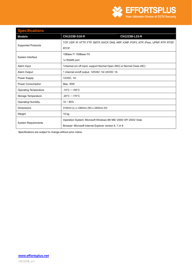

### **Specifications Models CN1223B-S18-R CN1223B-L23-R**  Supported Protocols TCP, UDP, IP, HTTP, FTP, SMTP, DHCP, DNS, ARP, ICMP, POP3, NTP, IPsec, UPNP, RTP, RTSP, **RTCP** System Interface 10Base-T/ 100Base-TX 1x RS485 port Alarm Input 1channel on/ off input, support Normal Open (NO) or Normal Close (NC) Alarm Output 1 channel on/off output, 120VAC 1A/ 24VDC 1A Power Supply 12VDC, 1A Power Consumption Max. 30W Operating Temperature | -10°C ~ +55°C Storage Temperature  $\vert$  -20°C ~ +70°C Operating Humidity 10 ~ 85% Dimensions 310mm (L) x 240mm (W) x 240mm (H) Weight 10 kg System Requirements Operation System: Microsoft Windows 98/ ME/ 2000/ XP/ 2003/ Vista Browser: Microsoft Internet Explorer version 6, 7 or 8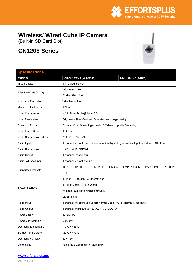

# <span id="page-29-0"></span>**Wireless/ Wired Cube IP Camera**

(Built-in SD Card Slot)

# **CN1205 Series**



| <b>Specifications</b>        |                                                                                         |                                                                                         |  |
|------------------------------|-----------------------------------------------------------------------------------------|-----------------------------------------------------------------------------------------|--|
| <b>Models</b>                | CN1205-WSR (Wireless)                                                                   | CN1205-SR (Wired)                                                                       |  |
| Image Device                 | 1/4" CMOS sensor                                                                        |                                                                                         |  |
| Effective Pixels (H x V)     | VGA: 640 x 480                                                                          |                                                                                         |  |
|                              | QVGA: 320 x 240                                                                         |                                                                                         |  |
| <b>Horizontal Resolution</b> | <b>VGA Resolution</b>                                                                   |                                                                                         |  |
| Minimum Illumination         | 1.0Lux                                                                                  |                                                                                         |  |
| Video Compression            | H.264 Main Profile@ Level 3.0                                                           |                                                                                         |  |
| Video Parameters             | Brightness, Hue, Contrast, Saturation and Image quality                                 |                                                                                         |  |
| <b>Streaming Format</b>      | Optional Video Streaming or Audio & Video composite Streaming                           |                                                                                         |  |
| Video Frame Rate             | $1-30$ fps                                                                              |                                                                                         |  |
| Video Compression Bit Rate   | 30Kbit/S - 16Mbit/S                                                                     |                                                                                         |  |
| Audio Input                  |                                                                                         | 1 channel Microphone or linear Input (configured by software), Input Impedance: 1K ohms |  |
| Audio Compression            | G.726, G.711, ADPCM                                                                     |                                                                                         |  |
| Audio Output                 | 1 channel linear output                                                                 |                                                                                         |  |
| Audio Talk-back Input        | 1 channel Microphone input                                                              |                                                                                         |  |
|                              | TCP, UDP, IP, HTTP, FTP, SMTP, DHCP, DNS, ARP, ICMP, POP3, NTP, IPsec, UPNP, RTP, RTCP, |                                                                                         |  |
| <b>Supported Protocols</b>   | RTSP.                                                                                   |                                                                                         |  |
|                              | 10Base-T/100Base-TX Ethernet port                                                       |                                                                                         |  |
| System Interface             | 1x RS485 port, 1x RS232 port                                                            |                                                                                         |  |
|                              | Wifi port (802.11b/g wireless network)                                                  | $\overline{a}$                                                                          |  |
|                              | SD card slot                                                                            |                                                                                         |  |
| Alarm Input                  | 1 channel on/ off input, support Normal Open (NO) or Normal Close (NC)                  |                                                                                         |  |
| Alarm Output                 | 1 channel on/off output, 120VAC 1A/24VDC 1A                                             |                                                                                         |  |
| Power Supply                 | 12VDC 1A                                                                                |                                                                                         |  |
| Power Consumption            | Max. 6W                                                                                 |                                                                                         |  |
| <b>Operating Temperature</b> | $-10^{\circ}$ C ~ +55 $^{\circ}$ C                                                      |                                                                                         |  |
| Storage Temperature          | $-20^{\circ}$ C ~ +70 $^{\circ}$ C                                                      |                                                                                         |  |
| <b>Operating Humidity</b>    | $10 \sim 85\%$                                                                          |                                                                                         |  |
| Dimensions                   | 75mm (L) x 25mm (W) x 120mm (H)                                                         |                                                                                         |  |

#### **www.effortsplus.net**

CN1205\_sv1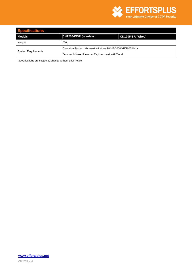

| <b>Specifications</b>      |                                                              |                   |
|----------------------------|--------------------------------------------------------------|-------------------|
| Models                     | <b>CN1205-WSR (Wireless)</b>                                 | CN1205-SR (Wired) |
| Weight                     | 700g                                                         |                   |
| <b>System Requirements</b> | Operation System: Microsoft Windows 98/ME/2000/XP/2003/Vista |                   |
|                            | Browser: Microsoft Internet Explorer version 6, 7 or 8       |                   |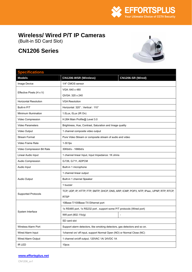

## <span id="page-31-0"></span>**Wireless/ Wired P/T IP Cameras**

(Built-in SD Card Slot)

# **CN1206 Series**



| <b>Specifications</b>        |                                                                           |                                                                                         |  |  |
|------------------------------|---------------------------------------------------------------------------|-----------------------------------------------------------------------------------------|--|--|
| <b>Models</b>                | <b>CN1206-WSR (Wireless)</b>                                              | CN1206-SR (Wired)                                                                       |  |  |
| Image Device                 | 1/4" CMOS sensor                                                          |                                                                                         |  |  |
|                              | VGA: 640 x 480                                                            |                                                                                         |  |  |
| Effective Pixels (H x V)     | QVGA: 320 x 240                                                           |                                                                                         |  |  |
| <b>Horizontal Resolution</b> | <b>VGA Resolution</b>                                                     |                                                                                         |  |  |
| Built-in P/T                 | Horizontal: 320°; Vertical: 110°                                          |                                                                                         |  |  |
| Minimum Illumination         | 1.0Lux, 0Lux (IR On)                                                      |                                                                                         |  |  |
| Video Compression            | H.264 Main Profile@ Level 3.0                                             |                                                                                         |  |  |
| <b>Video Parameters</b>      | Brightness, Hue, Contrast, Saturation and Image quality                   |                                                                                         |  |  |
| Video Output                 | 1 channel composite video output                                          |                                                                                         |  |  |
| <b>Stream Format</b>         | Pure Video Stream or composite stream of audio and video                  |                                                                                         |  |  |
| Video Frame Rate             | $1-30$ fps                                                                |                                                                                         |  |  |
| Video Compression Bit Rate   | 30Kbit/s - 16Mbit/s                                                       |                                                                                         |  |  |
| Linear Audio Input           | 1 channel linear Input, Input Impedance: 1K ohms                          |                                                                                         |  |  |
| Audio Compression            | G.726, G.711, ADPCM                                                       |                                                                                         |  |  |
| Audio Input                  | Built-in 1 microphone                                                     |                                                                                         |  |  |
|                              | 1 channel linear output                                                   |                                                                                         |  |  |
| Audio Output                 | Built-in 1 channel Speaker                                                |                                                                                         |  |  |
|                              | 1 buzzer                                                                  |                                                                                         |  |  |
| <b>Supported Protocols</b>   |                                                                           | TCP, UDP, IP, HTTP, FTP, SMTP, DHCP, DNS, ARP, ICMP, POP3, NTP, IPsec, UPNP, RTP, RTCP, |  |  |
|                              | <b>RTSP</b>                                                               |                                                                                         |  |  |
| System Interface             | 10Base-T/100Base-TX Ethernet port                                         |                                                                                         |  |  |
|                              | 1x RS485 port, 1x RS232 port, support some P/T protocols (Wired port)     |                                                                                         |  |  |
|                              | Wifi port (802.11b/g)                                                     |                                                                                         |  |  |
|                              | SD card slot                                                              |                                                                                         |  |  |
| Wireless Alarm Port          | Support alarm detectors, like smoking detectors, gas detectors and so on. |                                                                                         |  |  |
| Wired Alarm Input            | 1channel on/ off input, support Normal Open (NO) or Normal Close (NC)     |                                                                                         |  |  |
| Wired Alarm Output           | 1 channel on/off output, 120VAC 1A/ 24VDC 1A                              |                                                                                         |  |  |
| IR LED                       | 10 <sub>pcs</sub>                                                         |                                                                                         |  |  |

#### **www.effortsplus.net**

CN1206\_sv1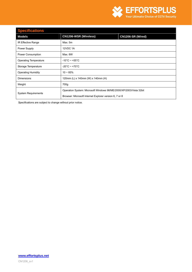

| <b>Specifications</b>        |                                                                    |                   |  |
|------------------------------|--------------------------------------------------------------------|-------------------|--|
| <b>Models</b>                | <b>CN1206-WSR (Wireless)</b>                                       | CN1206-SR (Wired) |  |
| IR Effective Range           | Max. 5m                                                            |                   |  |
| Power Supply                 | <b>12VDC 1A</b>                                                    |                   |  |
| Power Consumption            | Max. 6W                                                            |                   |  |
| <b>Operating Temperature</b> | $-10^{\circ}$ C ~ +55 $^{\circ}$ C                                 |                   |  |
| Storage Temperature          | $-20^{\circ}$ C ~ +70 $^{\circ}$ C                                 |                   |  |
| <b>Operating Humidity</b>    | $10 - 85%$                                                         |                   |  |
| <b>Dimensions</b>            | 120mm (L) x 140mm (W) x 140mm (H)                                  |                   |  |
| Weight                       | 700g                                                               |                   |  |
| <b>System Requirements</b>   | Operation System: Microsoft Windows 98/ME/2000/XP/2003/Vista 32bit |                   |  |
|                              | Browser: Microsoft Internet Explorer version 6, 7 or 8             |                   |  |